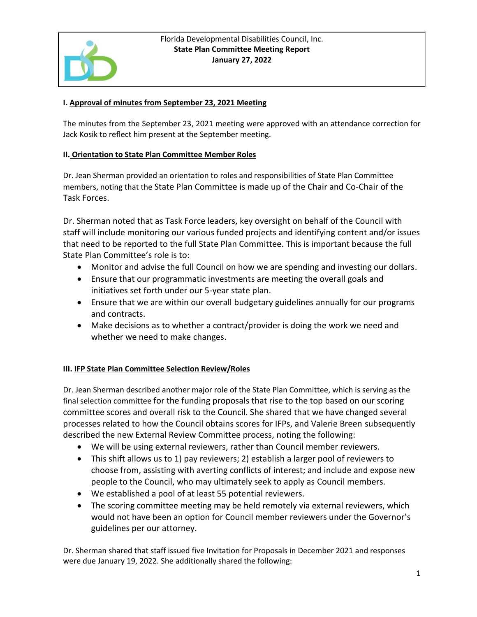

## Florida Developmental Disabilities Council, Inc. **State Plan Committee Meeting Report January 27, 2022**

## **I. Approval of minutes from September 23, 2021 Meeting**

The minutes from the September 23, 2021 meeting were approved with an attendance correction for Jack Kosik to reflect him present at the September meeting.

## **II. Orientation to State Plan Committee Member Roles**

Dr. Jean Sherman provided an orientation to roles and responsibilities of State Plan Committee members, noting that the State Plan Committee is made up of the Chair and Co-Chair of the Task Forces.

Dr. Sherman noted that as Task Force leaders, key oversight on behalf of the Council with staff will include monitoring our various funded projects and identifying content and/or issues that need to be reported to the full State Plan Committee. This is important because the full State Plan Committee's role is to:

- Monitor and advise the full Council on how we are spending and investing our dollars.
- Ensure that our programmatic investments are meeting the overall goals and initiatives set forth under our 5-year state plan.
- Ensure that we are within our overall budgetary guidelines annually for our programs and contracts.
- Make decisions as to whether a contract/provider is doing the work we need and whether we need to make changes.

## **III. IFP State Plan Committee Selection Review/Roles**

Dr. Jean Sherman described another major role of the State Plan Committee, which is serving as the final selection committee for the funding proposals that rise to the top based on our scoring committee scores and overall risk to the Council. She shared that we have changed several processes related to how the Council obtains scores for IFPs, and Valerie Breen subsequently described the new External Review Committee process, noting the following:

- We will be using external reviewers, rather than Council member reviewers.
- This shift allows us to 1) pay reviewers; 2) establish a larger pool of reviewers to choose from, assisting with averting conflicts of interest; and include and expose new people to the Council, who may ultimately seek to apply as Council members.
- We established a pool of at least 55 potential reviewers.
- The scoring committee meeting may be held remotely via external reviewers, which would not have been an option for Council member reviewers under the Governor's guidelines per our attorney.

Dr. Sherman shared that staff issued five Invitation for Proposals in December 2021 and responses were due January 19, 2022. She additionally shared the following: